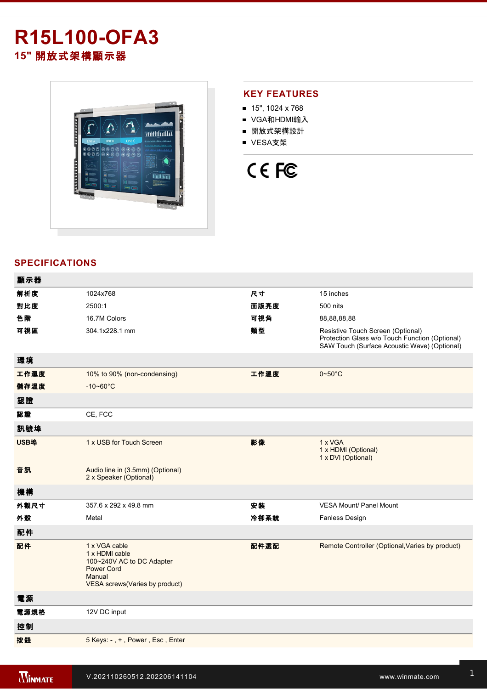# **R15L100-OFA3 15"** 開放式架構顯示器



## **KEY FEATURES**

- 15", 1024 x 768
- VGA和HDMI輸入
- 開放式架構設計
- VESA支架



## **SPECIFICATIONS**

| 顯示器  |                                                                                                                               |      |                                                                                                                                     |
|------|-------------------------------------------------------------------------------------------------------------------------------|------|-------------------------------------------------------------------------------------------------------------------------------------|
| 解析度  | 1024x768                                                                                                                      | 尺寸   | 15 inches                                                                                                                           |
| 對比度  | 2500:1                                                                                                                        | 面版亮度 | 500 nits                                                                                                                            |
| 色階   | 16.7M Colors                                                                                                                  | 可視角  | 88,88,88,88                                                                                                                         |
| 可視區  | 304.1x228.1 mm                                                                                                                | 類型   | Resistive Touch Screen (Optional)<br>Protection Glass w/o Touch Function (Optional)<br>SAW Touch (Surface Acoustic Wave) (Optional) |
| 環境   |                                                                                                                               |      |                                                                                                                                     |
| 工作濕度 | 10% to 90% (non-condensing)                                                                                                   | 工作溫度 | $0 - 50$ °C                                                                                                                         |
| 儲存溫度 | $-10 - 60^{\circ}C$                                                                                                           |      |                                                                                                                                     |
| 認證   |                                                                                                                               |      |                                                                                                                                     |
| 認證   | CE, FCC                                                                                                                       |      |                                                                                                                                     |
| 訊號埠  |                                                                                                                               |      |                                                                                                                                     |
| USB埠 | 1 x USB for Touch Screen                                                                                                      | 影像   | 1 x VGA<br>1 x HDMI (Optional)<br>1 x DVI (Optional)                                                                                |
| 音訊   | Audio line in (3.5mm) (Optional)<br>2 x Speaker (Optional)                                                                    |      |                                                                                                                                     |
| 機構   |                                                                                                                               |      |                                                                                                                                     |
| 外觀尺寸 | 357.6 x 292 x 49.8 mm                                                                                                         | 安装   | <b>VESA Mount/ Panel Mount</b>                                                                                                      |
| 外殼   | Metal                                                                                                                         | 冷卻系統 | Fanless Design                                                                                                                      |
| 配件   |                                                                                                                               |      |                                                                                                                                     |
| 配件   | 1 x VGA cable<br>1 x HDMI cable<br>100~240V AC to DC Adapter<br><b>Power Cord</b><br>Manual<br>VESA screws(Varies by product) | 配件選配 | Remote Controller (Optional, Varies by product)                                                                                     |
| 電源   |                                                                                                                               |      |                                                                                                                                     |
| 電源規格 | 12V DC input                                                                                                                  |      |                                                                                                                                     |
| 控制   |                                                                                                                               |      |                                                                                                                                     |
| 按鈕   | 5 Keys: -, +, Power, Esc, Enter                                                                                               |      |                                                                                                                                     |
|      |                                                                                                                               |      |                                                                                                                                     |